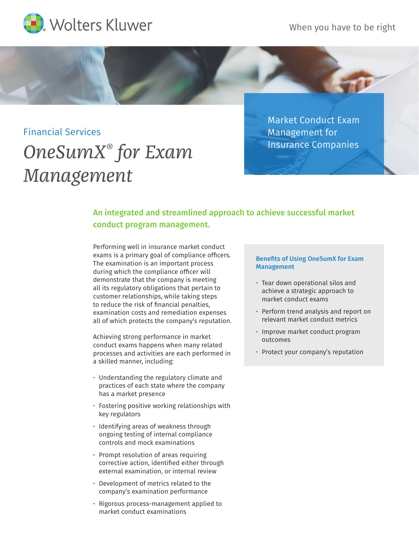

When you have to be right

# Financial Services

*OneSumX® for Exam Management*

Market Conduct Exam Management for Insurance Companies

# An integrated and streamlined approach to achieve successful market conduct program management.

Performing well in insurance market conduct exams is a primary goal of compliance officers. The examination is an important process during which the compliance officer will demonstrate that the company is meeting all its regulatory obligations that pertain to customer relationships, while taking steps to reduce the risk of financial penalties, examination costs and remediation expenses all of which protects the company's reputation.

Achieving strong performance in market conduct exams happens when many related processes and activities are each performed in a skilled manner, including:

- Understanding the regulatory climate and practices of each state where the company has a market presence
- Fostering positive working relationships with key regulators
- Identifying areas of weakness through ongoing testing of internal compliance controls and mock examinations
- Prompt resolution of areas requiring corrective action, identified either through external examination, or internal review
- Development of metrics related to the company's examination performance
- Rigorous process-management applied to market conduct examinations

## Benefits of Using OneSumX for Exam **Management**

- Tear down operational silos and achieve a strategic approach to market conduct exams
- Perform trend analysis and report on relevant market conduct metrics
- Improve market conduct program outcomes
- Protect your company's reputation